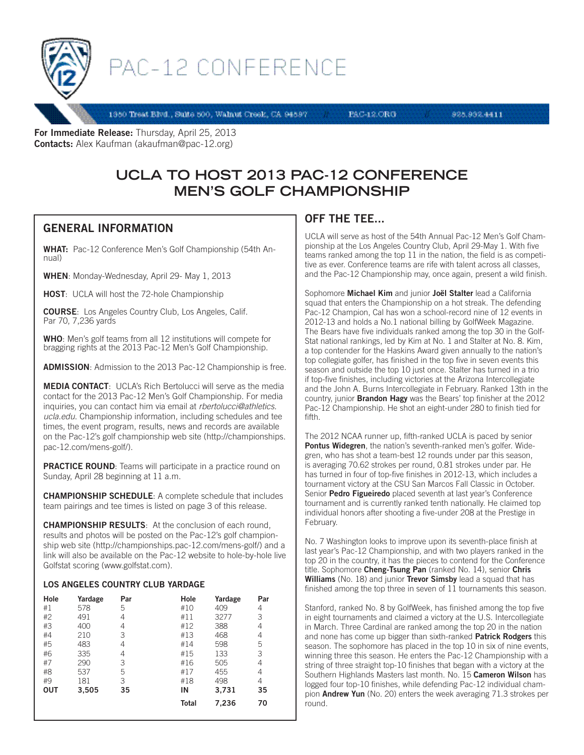

# PAC-12 CONFERENCE

1350 Treat Blvd., Suite 500, Walnut Creek, CA 94597

**PAC-12.ORG** 

925.932.4411

For Immediate Release: Thursday, April 25, 2013 Contacts: Alex Kaufman (akaufman@pac-12.org)

# **UCLA TO HOST 2013 PAC-12 CONFERENCE MEN'S GOLF CHAMPIONSHIP**

## GENERAL INFORMATION

WHAT: Pac-12 Conference Men's Golf Championship (54th Annual)

WHEN: Monday-Wednesday, April 29- May 1, 2013

HOST: UCLA will host the 72-hole Championship

COURSE: Los Angeles Country Club, Los Angeles, Calif. Par 70, 7,236 yards

WHO: Men's golf teams from all 12 institutions will compete for bragging rights at the 2013 Pac-12 Men's Golf Championship.

ADMISSION: Admission to the 2013 Pac-12 Championship is free.

MEDIA CONTACT: UCLA's Rich Bertolucci will serve as the media contact for the 2013 Pac-12 Men's Golf Championship. For media inquiries, you can contact him via email at *rbertolucci@athletics. ucla.edu*. Championship information, including schedules and tee times, the event program, results, news and records are available on the Pac-12's golf championship web site (http://championships. pac-12.com/mens-golf/).

**PRACTICE ROUND:** Teams will participate in a practice round on Sunday, April 28 beginning at 11 a.m.

CHAMPIONSHIP SCHEDULE: A complete schedule that includes team pairings and tee times is listed on page 3 of this release.

CHAMPIONSHIP RESULTS: At the conclusion of each round, results and photos will be posted on the Pac-12's golf championship web site (http://championships.pac-12.com/mens-golf/) and a link will also be available on the Pac-12 website to hole-by-hole live Golfstat scoring (www.golfstat.com).

#### LOS ANGELES COUNTRY CLUB YARDAGE

| Hole       | Yardage | Par | Hole         | Yardage | Par |
|------------|---------|-----|--------------|---------|-----|
| #1         | 578     | 5   | #10          | 409     | 4   |
| #2         | 491     | 4   | #11          | 3277    | 3   |
| #3         | 400     | 4   | #12          | 388     | 4   |
| #4         | 210     | 3   | #13          | 468     | 4   |
| #5         | 483     | 4   | #14          | 598     | 5   |
| #6         | 335     | 4   | #15          | 133     | 3   |
| #7         | 290     | 3   | #16          | 505     | 4   |
| #8         | 537     | 5   | #17          | 455     | 4   |
| #9         | 181     | 3   | #18          | 498     | 4   |
| <b>OUT</b> | 3,505   | 35  | IN           | 3,731   | 35  |
|            |         |     | <b>Total</b> | 7,236   | 70  |

### OFF THE TEE...

UCLA will serve as host of the 54th Annual Pac-12 Men's Golf Championship at the Los Angeles Country Club, April 29-May 1. With five teams ranked among the top 11 in the nation, the field is as competitive as ever. Conference teams are rife with talent across all classes, and the Pac-12 Championship may, once again, present a wild finish.

Sophomore Michael Kim and junior Joël Stalter lead a California squad that enters the Championship on a hot streak. The defending Pac-12 Champion, Cal has won a school-record nine of 12 events in 2012-13 and holds a No.1 national billing by GolfWeek Magazine. The Bears have five individuals ranked among the top 30 in the Golf-Stat national rankings, led by Kim at No. 1 and Stalter at No. 8. Kim, a top contender for the Haskins Award given annually to the nation's top collegiate golfer, has finished in the top five in seven events this season and outside the top 10 just once. Stalter has turned in a trio if top-five finishes, including victories at the Arizona Intercollegiate and the John A. Burns Intercollegiate in February. Ranked 13th in the country, junior **Brandon Hagy** was the Bears' top finisher at the 2012 Pac-12 Championship. He shot an eight-under 280 to finish tied for fifth.

The 2012 NCAA runner up, fifth-ranked UCLA is paced by senior Pontus Widegren, the nation's seventh-ranked men's golfer. Widegren, who has shot a team-best 12 rounds under par this season, is averaging 70.62 strokes per round, 0.81 strokes under par. He has turned in four of top-five finishes in 2012-13, which includes a tournament victory at the CSU San Marcos Fall Classic in October. Senior Pedro Figueiredo placed seventh at last year's Conference tournament and is currently ranked tenth nationally. He claimed top individual honors after shooting a five-under 208 at the Prestige in February.

No. 7 Washington looks to improve upon its seventh-place finish at last year's Pac-12 Championship, and with two players ranked in the top 20 in the country, it has the pieces to contend for the Conference title. Sophomore Cheng-Tsung Pan (ranked No. 14), senior Chris Williams (No. 18) and junior Trevor Simsby lead a squad that has finished among the top three in seven of 11 tournaments this season.

Stanford, ranked No. 8 by GolfWeek, has finished among the top five in eight tournaments and claimed a victory at the U.S. Intercollegiate in March. Three Cardinal are ranked among the top 20 in the nation and none has come up bigger than sixth-ranked **Patrick Rodgers** this season. The sophomore has placed in the top 10 in six of nine events, winning three this season. He enters the Pac-12 Championship with a string of three straight top-10 finishes that began with a victory at the Southern Highlands Masters last month. No. 15 **Cameron Wilson** has logged four top-10 finishes, while defending Pac-12 individual champion Andrew Yun (No. 20) enters the week averaging 71.3 strokes per round.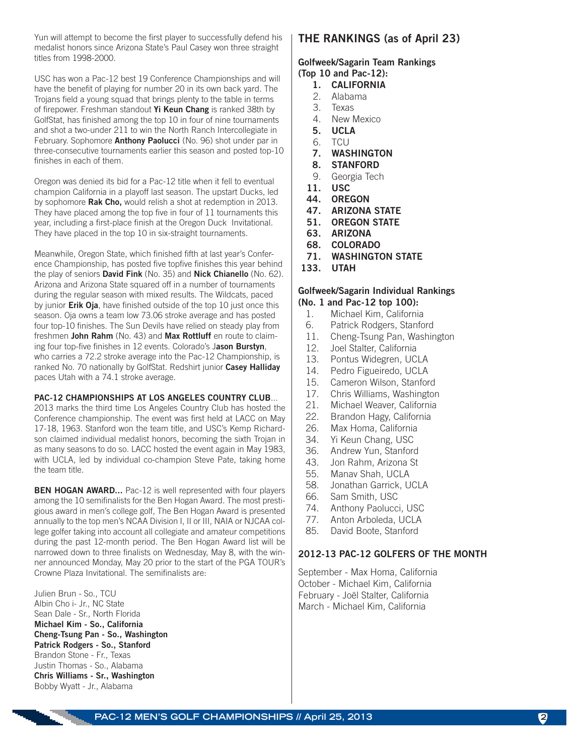Yun will attempt to become the first player to successfully defend his medalist honors since Arizona State's Paul Casey won three straight titles from 1998-2000.

USC has won a Pac-12 best 19 Conference Championships and will have the benefit of playing for number 20 in its own back yard. The Trojans field a young squad that brings plenty to the table in terms of firepower. Freshman standout Yi Keun Chang is ranked 38th by GolfStat, has finished among the top 10 in four of nine tournaments and shot a two-under 211 to win the North Ranch Intercollegiate in February. Sophomore **Anthony Paolucci** (No. 96) shot under par in three-consecutive tournaments earlier this season and posted top-10 finishes in each of them.

Oregon was denied its bid for a Pac-12 title when it fell to eventual champion California in a playoff last season. The upstart Ducks, led by sophomore **Rak Cho,** would relish a shot at redemption in 2013. They have placed among the top five in four of 11 tournaments this year, including a first-place finish at the Oregon Duck Invitational. They have placed in the top 10 in six-straight tournaments.

Meanwhile, Oregon State, which finished fifth at last year's Conference Championship, has posted five topfive finishes this year behind the play of seniors **David Fink** (No. 35) and **Nick Chianello** (No. 62). Arizona and Arizona State squared off in a number of tournaments during the regular season with mixed results. The Wildcats, paced by junior **Erik Oja**, have finished outside of the top 10 just once this season. Oja owns a team low 73.06 stroke average and has posted four top-10 finishes. The Sun Devils have relied on steady play from freshmen John Rahm (No. 43) and Max Rottluff en route to claiming four top-five finishes in 12 events. Colorado's Jason Burstyn, who carries a 72.2 stroke average into the Pac-12 Championship, is ranked No. 70 nationally by GolfStat. Redshirt junior Casey Halliday paces Utah with a 74.1 stroke average.

#### PAC-12 CHAMPIONSHIPS AT LOS ANGELES COUNTRY CLUB...

2013 marks the third time Los Angeles Country Club has hosted the Conference championship. The event was first held at LACC on May 17-18, 1963. Stanford won the team title, and USC's Kemp Richardson claimed individual medalist honors, becoming the sixth Trojan in as many seasons to do so. LACC hosted the event again in May 1983, with UCLA, led by individual co-champion Steve Pate, taking home the team title.

**BEN HOGAN AWARD...** Pac-12 is well represented with four players among the 10 semifinalists for the Ben Hogan Award. The most prestigious award in men's college golf, The Ben Hogan Award is presented annually to the top men's NCAA Division I, II or III, NAIA or NJCAA college golfer taking into account all collegiate and amateur competitions during the past 12-month period. The Ben Hogan Award list will be narrowed down to three finalists on Wednesday, May 8, with the winner announced Monday, May 20 prior to the start of the PGA TOUR's Crowne Plaza Invitational. The semifinalists are:

Julien Brun - So., TCU Albin Cho i- Jr., NC State Sean Dale - Sr., North Florida Michael Kim - So., California Cheng-Tsung Pan - So., Washington Patrick Rodgers - So., Stanford Brandon Stone - Fr., Texas Justin Thomas - So., Alabama Chris Williams - Sr., Washington Bobby Wyatt - Jr., Alabama

#### THE RANKINGS (as of April 23)

#### Golfweek/Sagarin Team Rankings (Top 10 and Pac-12):

- 1. CALIFORNIA
- 2. Alabama
- 3. Texas
- 4. New Mexico
- 5. UCLA
- 6. TCU
- 7. WASHINGTON
- 8. STANFORD
- 9. Georgia Tech
- 11. USC
- 44. OREGON
- 47. ARIZONA STATE
- 51. OREGON STATE
- 63. ARIZONA
- 68. COLORADO
- 71. WASHINGTON STATE
- 133. UTAH

#### Golfweek/Sagarin Individual Rankings (No. 1 and Pac-12 top 100):

- 1. Michael Kim, California
- 6. Patrick Rodgers, Stanford
- 11. Cheng-Tsung Pan, Washington
- 12. Joel Stalter, California
- 13. Pontus Widegren, UCLA
- 14. Pedro Figueiredo, UCLA
- 15. Cameron Wilson, Stanford
- 17. Chris Williams, Washington
- 21. Michael Weaver, California
- 22. Brandon Hagy, California
- 26. Max Homa, California
- 34. Yi Keun Chang, USC
- 36. Andrew Yun, Stanford
- 43. Jon Rahm, Arizona St
- 55. Manav Shah, UCLA
- 58. Jonathan Garrick, UCLA
- 66. Sam Smith, USC
- 74. Anthony Paolucci, USC
- 77. Anton Arboleda, UCLA
- 85. David Boote, Stanford

#### 2012-13 PAC-12 GOLFERS OF THE MONTH

September - Max Homa, California October - Michael Kim, California February - Joël Stalter, California March - Michael Kim, California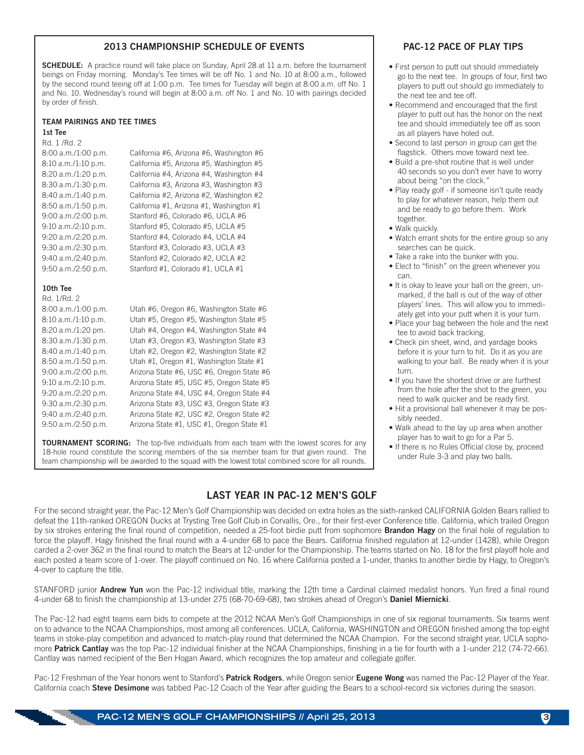#### 2013 CHAMPIONSHIP SCHEDULE OF EVENTS

**SCHEDULE:** A practice round will take place on Sunday, April 28 at 11 a.m. before the tournament beings on Friday morning. Monday's Tee times will be off No. 1 and No. 10 at 8:00 a.m., followed by the second round teeing off at 1:00 p.m. Tee times for Tuesday will begin at 8:00 a.m. off No. 1 and No. 10. Wednesday's round will begin at 8:00 a.m. off No. 1 and No. 10 with pairings decided by order of finish.

#### TEAM PAIRINGS AND TEE TIMES

| 1st Tee               |                                          |
|-----------------------|------------------------------------------|
| Rd. 1/Rd. 2           |                                          |
| $8:00$ a.m./1:00 p.m. | California #6, Arizona #6, Washington #6 |
| $8:10$ a.m./1:10 p.m. | California #5, Arizona #5, Washington #5 |
| 8:20 a.m./1:20 p.m.   | California #4, Arizona #4, Washington #4 |
| $8:30$ a.m./1:30 p.m. | California #3, Arizona #3, Washington #3 |
| 8:40 a.m./1:40 p.m.   | California #2, Arizona #2, Washington #2 |
| 8:50 a.m./1:50 p.m.   | California #1, Arizona #1, Washington #1 |
| 9:00 a.m./2:00 p.m.   | Stanford #6, Colorado #6, UCLA #6        |
| $9:10$ a.m./2:10 p.m. | Stanford #5. Colorado #5. UCLA #5        |
| 9:20 a.m./2:20 p.m.   | Stanford #4, Colorado #4, UCLA #4        |
| 9:30 a.m./2:30 p.m.   | Stanford #3, Colorado #3, UCLA #3        |
| 9:40 a.m./2:40 p.m.   | Stanford #2, Colorado #2, UCLA #2        |
| 9:50 a.m./2:50 p.m.   | Stanford #1, Colorado #1, UCLA #1        |
|                       |                                          |

#### 10th Tee Rd. 1/Rd. 2

| $\mathbb{R} \cup \mathbb{R} \cup \mathbb{R} \cup \mathbb{R}$ |                                           |
|--------------------------------------------------------------|-------------------------------------------|
| $8:00$ a.m./1:00 p.m.                                        | Utah #6, Oregon #6, Washington State #6   |
| $8:10$ a.m./1:10 p.m.                                        | Utah #5, Oregon #5, Washington State #5   |
| 8:20 a.m./1:20 pm.                                           | Utah #4, Oregon #4, Washington State #4   |
| 8:30 a.m./1:30 p.m.                                          | Utah #3, Oregon #3, Washington State #3   |
| 8:40 a.m./1:40 p.m.                                          | Utah #2, Oregon #2, Washington State #2   |
| 8:50 a.m./1:50 p.m.                                          | Utah #1, Oregon #1, Washington State #1   |
| 9:00 a.m./2:00 p.m.                                          | Arizona State #6, USC #6, Oregon State #6 |
| 9:10 a.m./2:10 p.m.                                          | Arizona State #5, USC #5, Oregon State #5 |
| 9:20 a.m./2:20 p.m.                                          | Arizona State #4, USC #4, Oregon State #4 |
| 9:30 a.m./2:30 p.m.                                          | Arizona State #3, USC #3, Oregon State #3 |
| 9:40 a.m./2:40 p.m.                                          | Arizona State #2, USC #2, Oregon State #2 |
| 9:50 a.m./2:50 p.m.                                          | Arizona State #1, USC #1, Oregon State #1 |

**TOURNAMENT SCORING:** The top-five individuals from each team with the lowest scores for any 18-hole round constitute the scoring members of the six member team for that given round. The team championship will be awarded to the squad with the lowest total combined score for all rounds.

#### LAST YEAR IN PAC-12 MEN'S GOLF

#### PAC-12 PACE OF PLAY TIPS

- First person to putt out should immediately go to the next tee. In groups of four, first two players to putt out should go immediately to the next tee and tee off.
- Recommend and encouraged that the first player to putt out has the honor on the next tee and should immediately tee off as soon as all players have holed out.
- Second to last person in group can get the flagstick. Others move toward next tee.
- Build a pre-shot routine that is well under 40 seconds so you don't ever have to worry about being "on the clock."
- Play ready golf if someone isn't quite ready to play for whatever reason, help them out and be ready to go before them. Work together.
- Walk quickly.
- Watch errant shots for the entire group so any searches can be quick.
- Take a rake into the bunker with you.
- Elect to "finish" on the green whenever you can.
- It is okay to leave your ball on the green, unmarked, if the ball is out of the way of other players' lines. This will allow you to immediately get into your putt when it is your turn.
- Place your bag between the hole and the next tee to avoid back tracking.
- Check pin sheet, wind, and yardage books before it is your turn to hit. Do it as you are walking to your ball. Be ready when it is your turn.
- If you have the shortest drive or are furthest from the hole after the shot to the green, you need to walk quicker and be ready first.
- Hit a provisional ball whenever it may be possibly needed.
- Walk ahead to the lay up area when another player has to wait to go for a Par 5.
- If there is no Rules Official close by, proceed under Rule 3-3 and play two balls.

For the second straight year, the Pac-12 Men's Golf Championship was decided on extra holes as the sixth-ranked CALIFORNIA Golden Bears rallied to defeat the 11th-ranked OREGON Ducks at Trysting Tree Golf Club in Corvallis, Ore., for their first-ever Conference title. California, which trailed Oregon by six strokes entering the final round of competition, needed a 25-foot birdie putt from sophomore **Brandon Hagy** on the final hole of regulation to force the playoff. Hagy finished the final round with a 4-under 68 to pace the Bears. California finished regulation at 12-under (1428), while Oregon carded a 2-over 362 in the final round to match the Bears at 12-under for the Championship. The teams started on No. 18 for the first playoff hole and each posted a team score of 1-over. The playoff continued on No. 16 where California posted a 1-under, thanks to another birdie by Hagy, to Oregon's 4-over to capture the title.

STANFORD junior Andrew Yun won the Pac-12 individual title, marking the 12th time a Cardinal claimed medalist honors. Yun fired a final round 4-under 68 to finish the championship at 13-under 275 (68-70-69-68), two strokes ahead of Oregon's Daniel Miernicki.

The Pac-12 had eight teams earn bids to compete at the 2012 NCAA Men's Golf Championships in one of six regional tournaments. Six teams went on to advance to the NCAA Championships, most among all conferences. UCLA, California, WASHINGTON and OREGON finished among the top eight teams in stoke-play competition and advanced to match-play round that determined the NCAA Champion. For the second straight year, UCLA sophomore Patrick Cantlay was the top Pac-12 individual finisher at the NCAA Championships, finishing in a tie for fourth with a 1-under 212 (74-72-66). Cantlay was named recipient of the Ben Hogan Award, which recognizes the top amateur and collegiate golfer.

Pac-12 Freshman of the Year honors went to Stanford's Patrick Rodgers, while Oregon senior Eugene Wong was named the Pac-12 Player of the Year. California coach Steve Desimone was tabbed Pac-12 Coach of the Year after guiding the Bears to a school-record six victories during the season.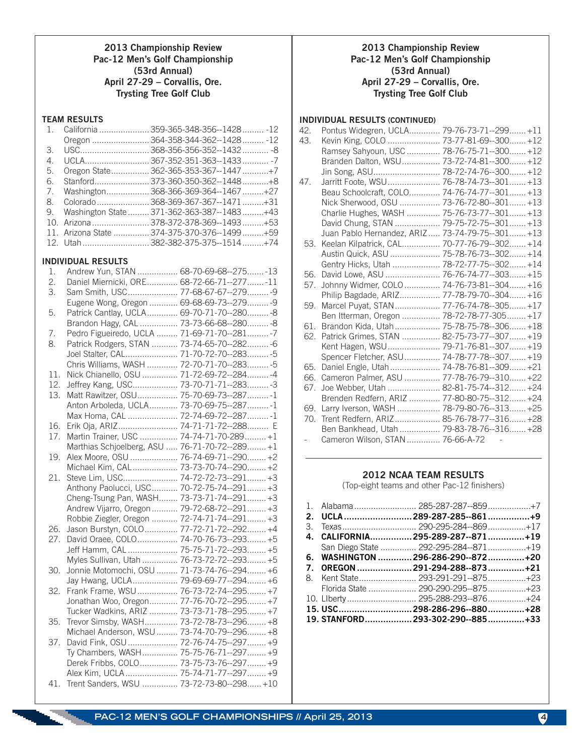#### 2013 Championship Review Pac-12 Men's Golf Championship (53rd Annual) April 27-29 – Corvallis, Ore. Trysting Tree Golf Club

#### TEAM RESULTS

|    | 1. California  359-365-348-356--1428  -12       |
|----|-------------------------------------------------|
|    | Oregon  364-358-344-362--1428  -12              |
|    |                                                 |
| 4. | UCLA367-352-351-363--1433-7                     |
| 5. | Oregon State 362-365-353-367--1447+7            |
| 6. | Stanford 373-360-350-362--1448+8                |
|    | 7. Washington 368-366-369-364--1467+27          |
|    | 8. Colorado 368-369-367-367--1471+31            |
|    | 9. Washington State  371-362-363-387--1483  +43 |
|    |                                                 |
|    | 11. Arizona State  374-375-370-376--1499  +59   |
|    | 12. Utah382-382-375-375--1514+74                |
|    |                                                 |

#### INDIVIDUAL RESULTS

| 1.  | Andrew Yun, STAN  68-70-69-68--275-13          |  |
|-----|------------------------------------------------|--|
| 2.  | Daniel Miernicki, ORE 68-72-66-71--277-11      |  |
| 3.  | Sam Smith, USC 77-68-67-67--279 -9             |  |
|     | Eugene Wong, Oregon  69-68-69-73--279-9        |  |
| 5.  | Patrick Cantlay, UCLA 69-70-71-70--280-8       |  |
|     | Brandon Hagy, CAL  73-73-66-68--280 -8         |  |
| 7.  | Pedro Figueiredo, UCLA  71-69-71-70--281-7     |  |
| 8.  | Patrick Rodgers, STAN  73-74-65-70--282 -6     |  |
|     | Joel Stalter, CAL 71-70-72-70--283 -5          |  |
|     | Chris Williams, WASH  72-70-71-70--283 -5      |  |
| 11. | Nick Chianello, OSU  71-72-69-72--284 -4       |  |
| 12. | Jeffrey Kang, USC 73-70-71-71--283 -3          |  |
| 13. | Matt Rawitzer, OSU 75-70-69-73--287-1          |  |
|     | Anton Arboleda, UCLA 73-70-69-75--287-1        |  |
|     | Max Homa, CAL  72-74-69-72--287 -1             |  |
| 16. | Erik Oja, ARIZ 74-71-71-72--288 E              |  |
| 17. | Martin Trainer, USC  74-74-71-70-289  +1       |  |
|     | Marthias Schjoelberg, ASU  76-71-70-72--289 +1 |  |
| 19. | Alex Moore, OSU  76-74-69-71--290 +2           |  |
|     | Michael Kim, CAL 73-73-70-74--290 +2           |  |
| 21. | Steve Lim, USC 74-72-72-73--291 +3             |  |
|     | Anthony Paolucci, USC 70-72-75-74--291 +3      |  |
|     | Cheng-Tsung Pan, WASH 73-73-71-74--291 +3      |  |
|     | Andrew Vijarro, Oregon 79-72-68-72--291 +3     |  |
|     | Robbie Ziegler, Oregon  72-74-71-74--291 +3    |  |
| 26. | Jason Burstyn, COLO 77-72-71-72--292 +4        |  |
| 27. | David Oraee, COLO 74-70-76-73--293 +5          |  |
|     | Jeff Hamm, CAL  75-75-71-72--293 +5            |  |
|     | Myles Sullivan, Utah  76-73-72-72--293 +5      |  |
| 30. | Jonnie Motomochi, OSU  71-73-74-76--294 +6     |  |
|     | Jay Hwang, UCLA 79-69-69-77--294 +6            |  |
| 32. | Frank Frame, WSU  76-73-72-74--295 +7          |  |
|     | Jonathan Woo, Oregon 77-76-70-72--295 +7       |  |
|     | Tucker Wadkins, ARIZ  73-73-71-78--295 +7      |  |
| 35. | Trevor Simsby, WASH 73-72-78-73--296 +8        |  |
|     | Michael Anderson, WSU  73-74-70-79--296 +8     |  |
| 37. | David Fink, OSU  72-76-74-75--297  +9          |  |
|     | Ty Chambers, WASH 75-75-76-71--297 +9          |  |
|     | Derek Fribbs, COLO 73-75-73-76--297 +9         |  |
|     | Alex Kim, UCLA 75-74-71-77--297 +9             |  |
|     | 41. Trent Sanders, WSU  73-72-73-80--298 +10   |  |

#### 2013 Championship Review Pac-12 Men's Golf Championship (53rd Annual) April 27-29 – Corvallis, Ore. Trysting Tree Golf Club

#### INDIVIDUAL RESULTS (CONTINUED)

| 42. | Pontus Widegren, UCLA 79-76-73-71--299 +11        |  |
|-----|---------------------------------------------------|--|
| 43. | Kevin King, COLO  73-77-81-69--300 +12            |  |
|     | Ramsey Sahyoun, USC  78-76-75-71--300 +12         |  |
|     | Branden Dalton, WSU 73-72-74-81--300 +12          |  |
|     | Jin Song, ASU 78-72-74-76--300 +12                |  |
| 47. | Jarritt Foote, WSU 76-78-74-73--301 +13           |  |
|     | Beau Schoolcraft, COLO 74-76-74-77--301 +13       |  |
|     | Nick Sherwood, OSU  73-76-72-80--301 +13          |  |
|     | Charlie Hughes, WASH  75-76-73-77--301 +13        |  |
|     | David Chung, STAN  79-75-72-75--301 +13           |  |
|     | Juan Pablo Hernandez, ARIZ  73-74-79-75--301  +13 |  |
| 53. | Keelan Kilpatrick, CAL 70-77-76-79--302 +14       |  |
|     | Austin Quick, ASU  75-78-76-73--302 +14           |  |
|     | Gentry Hicks, Utah  78-72-77-75--302 +14          |  |
| 56. | David Lowe, ASU  76-76-74-77--303 +15             |  |
| 57. | Johnny Widmer, COLO  74-76-73-81--304 +16         |  |
|     | Philip Bagdade, ARIZ 77-78-79-70--304 +16         |  |
| 59. | Marcel Puyat, STAN  77-76-74-78--305 +17          |  |
|     | Ben Itterman, Oregon  78-72-78-77-305 +17         |  |
| 61. | Brandon Kida, Utah  75-78-75-78--306 +18          |  |
| 62. | Patrick Grimes, STAN  82-75-73-77--307 +19        |  |
|     | Kent Hagen, WSU 79-71-76-81--307 +19              |  |
|     | Spencer Fletcher, ASU 74-78-77-78--307 +19        |  |
| 65. | Daniel Engle, Utah  74-78-76-81--309 +21          |  |
| 66. | Cameron Palmer, ASU  77-78-76-79--310 +22         |  |
| 67. | Joe Webber, Utah  82-81-75-74--312 +24            |  |
|     | Brenden Redfern, ARIZ  77-80-80-75--312 +24       |  |
| 69. | Larry Iverson, WASH  78-79-80-76--313 +25         |  |
| 70. | Trent Redfern, ARIZ 85-76-78-77--316 +28          |  |
|     | Ben Bankhead, Utah  79-83-78-76--316 +28          |  |
|     | Cameron Wilson, STAN  76-66-A-72 -                |  |

#### 2012 NCAA TEAM RESULTS

(Top-eight teams and other Pac-12 finishers)

|  | 2. UCLA 289-287-285--861 +9          |  |
|--|--------------------------------------|--|
|  |                                      |  |
|  | 4. CALIFORNIA 295-289-287--871+19    |  |
|  | San Diego State  292-295-284--871+19 |  |
|  | 6. WASHINGTON  296-286-290--872+20   |  |
|  | 7. OREGON 291-294-288--873 +21       |  |
|  | 8. Kent State 293-291-291--875+23    |  |
|  |                                      |  |
|  |                                      |  |
|  | 15. USC 298-286-296--880 +28         |  |
|  | 19. STANFORD 293-302-290--885+33     |  |
|  |                                      |  |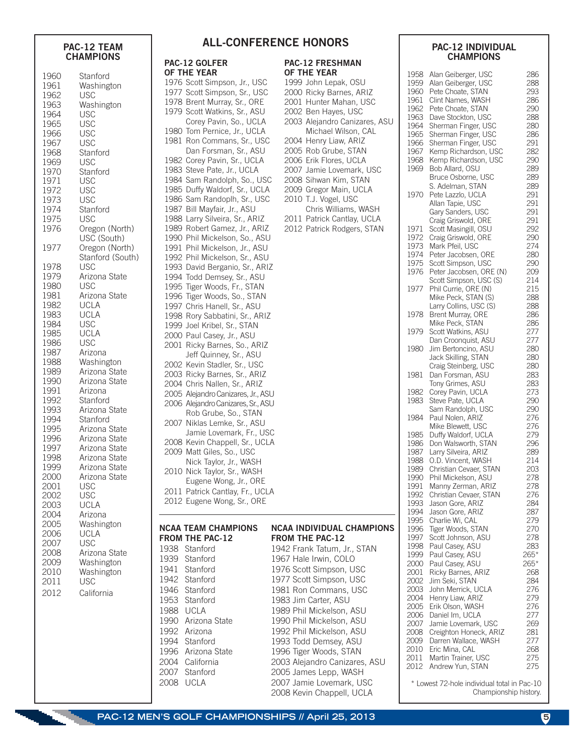# **CHAMPIONS**

| 1960<br>1961<br>1962<br>1963<br>1964<br>1965<br>1966<br>1967<br>1968<br>1969<br>1970<br>1971<br>1972<br>1973<br>1974<br>1975<br>1976<br>1977 | Stanford<br>Washington<br>USC<br>Washington<br><b>USC</b><br>USC<br>USC<br><b>USC</b><br>Stanford<br><b>USC</b><br>Stanford<br>USC<br>USC<br><b>USC</b><br>Stanford<br><b>USC</b><br>Oregon (North)<br>USC (South)<br>Oregon (North) |
|----------------------------------------------------------------------------------------------------------------------------------------------|--------------------------------------------------------------------------------------------------------------------------------------------------------------------------------------------------------------------------------------|
| 1978                                                                                                                                         | Stanford (South)                                                                                                                                                                                                                     |
| 1979                                                                                                                                         | USC                                                                                                                                                                                                                                  |
| 1980                                                                                                                                         | Arizona State                                                                                                                                                                                                                        |
| 1981                                                                                                                                         | <b>USC</b>                                                                                                                                                                                                                           |
| 1982                                                                                                                                         | Arizona State                                                                                                                                                                                                                        |
| 1983                                                                                                                                         | <b>UCLA</b>                                                                                                                                                                                                                          |
| 1984                                                                                                                                         | <b>UCLA</b>                                                                                                                                                                                                                          |
| 1985                                                                                                                                         | <b>USC</b>                                                                                                                                                                                                                           |
| 1986                                                                                                                                         | <b>UCLA</b>                                                                                                                                                                                                                          |
| 1987                                                                                                                                         | <b>USC</b>                                                                                                                                                                                                                           |
| 1988                                                                                                                                         | Arizona                                                                                                                                                                                                                              |
| 1989                                                                                                                                         | Washington                                                                                                                                                                                                                           |
| 1990                                                                                                                                         | Arizona State                                                                                                                                                                                                                        |
| 1991                                                                                                                                         | Arizona State                                                                                                                                                                                                                        |
| 1992                                                                                                                                         | Arizona                                                                                                                                                                                                                              |
| 1993                                                                                                                                         | Stanford                                                                                                                                                                                                                             |
| 1994                                                                                                                                         | Arizona State                                                                                                                                                                                                                        |
| 1995                                                                                                                                         | Stanford                                                                                                                                                                                                                             |
| 1996                                                                                                                                         | Arizona State                                                                                                                                                                                                                        |
| 1997                                                                                                                                         | Arizona State<br>Arizona State                                                                                                                                                                                                       |
| 1998                                                                                                                                         | Arizona State                                                                                                                                                                                                                        |
| 1999                                                                                                                                         | Arizona State                                                                                                                                                                                                                        |
| 2000                                                                                                                                         | Arizona State                                                                                                                                                                                                                        |
| 2001                                                                                                                                         | <b>USC</b>                                                                                                                                                                                                                           |
| 2002                                                                                                                                         | <b>USC</b>                                                                                                                                                                                                                           |
| 2003                                                                                                                                         | <b>UCLA</b>                                                                                                                                                                                                                          |
| 2004                                                                                                                                         | Arizona                                                                                                                                                                                                                              |
| 2005                                                                                                                                         | Washington                                                                                                                                                                                                                           |
| 2006                                                                                                                                         | <b>UCLA</b>                                                                                                                                                                                                                          |
| 2007                                                                                                                                         | <b>USC</b>                                                                                                                                                                                                                           |
| 2008                                                                                                                                         | Arizona State                                                                                                                                                                                                                        |
| 2009                                                                                                                                         | Washington                                                                                                                                                                                                                           |
| 2010                                                                                                                                         | Washington                                                                                                                                                                                                                           |
| 2011                                                                                                                                         | USC                                                                                                                                                                                                                                  |
| 2012                                                                                                                                         | California                                                                                                                                                                                                                           |

# PAC-12 TEAM **ALL-CONFERENCE HONORS**

PAC-12 GOLFER OF THE YEAR

#### PAC-12 FRESHMAN OF THE YEAR

 Scott Simpson, Jr., USC Scott Simpson, Sr., USC Brent Murray, Sr., ORE Scott Watkins, Sr., ASU Corey Pavin, So., UCLA Tom Pernice, Jr., UCLA Ron Commans, Sr., USC Dan Forsman, Sr., ASU Corey Pavin, Sr., UCLA Steve Pate, Jr., UCLA Sam Randolph, So., USC Duffy Waldorf, Sr., UCLA Sam Randoplh, Sr., USC Bill Mayfair, Jr., ASU Larry Silveira, Sr., ARIZ Robert Gamez, Jr., ARIZ Phil Mickelson, So., ASU Phil Mickelson, Jr., ASU Phil Mickelson, Sr., ASU David Berganio, Sr., ARIZ Todd Demsey, Sr., ASU Tiger Woods, Fr., STAN Tiger Woods, So., STAN Chris Hanell, Sr., ASU Rory Sabbatini, Sr., ARIZ Joel Kribel, Sr., STAN Paul Casey, Jr., ASU Ricky Barnes, So., ARIZ Jeff Quinney, Sr., ASU Kevin Stadler, Sr., USC Ricky Barnes, Sr., ARIZ Chris Nallen, Sr., ARIZ Alejandro Canizares, Jr., ASU Alejandro Canizares, Sr., ASU Rob Grube, So., STAN Niklas Lemke, Sr., ASU Jamie Lovemark, Fr., USC 2008 Kevin Chappell, Sr., UCLA 2009 Matt Giles, So., USC Nick Taylor, Jr., WASH 2010 Nick Taylor, Sr., WASH Eugene Wong, Jr., ORE 2011 Patrick Cantlay, Fr., UCLA 2012 Eugene Wong, Sr., ORE John Lepak, OSU Ricky Barnes, ARIZ Hunter Mahan, USC Ben Hayes, USC Alejandro Canizares, ASU Michael Wilson, CAL Henry Liaw, ARIZ Rob Grube, STAN Erik Flores, UCLA Jamie Lovemark, USC 2008 Sihwan Kim, STAN 2009 Gregor Main, UCLA 2010 T.J. Vogel, USC Chris Williams, WASH 2011 Patrick Cantlay, UCLA 2012 Patrick Rodgers, STAN NCAA TEAM CHAMPIONS FROM THE PAC-12 1990 Arizona State NCAA INDIVIDUAL CHAMPIONS FROM THE PAC-12 Frank Tatum, Jr., STAN Hale Irwin, COLO Scott Simpson, USC Scott Simpson, USC Ron Commans, USC Jim Carter, ASU Phil Mickelson, ASU Phil Mickelson, ASU Phil Mickelson, ASU Todd Demsey, ASU

> Tiger Woods, STAN Alejandro Canizares, ASU James Lepp, WASH Jamie Lovemark, USC Kevin Chappell, UCLA

#### PAC-12 INDIVIDUAL **CHAMPIONS**

| 1958 | Alan Geiberger, USC     | 286  |
|------|-------------------------|------|
|      |                         |      |
| 1959 | Alan Geiberger, USC     | 288  |
| 1960 | Pete Choate, STAN       | 293  |
|      |                         |      |
| 1961 | Clint Names, WASH       | 286  |
| 1962 | Pete Choate, STAN       | 290  |
|      |                         |      |
| 1963 | Dave Stockton, USC      | 288  |
| 1964 | Sherman Finger, USC     | 280  |
|      |                         |      |
| 1965 | Sherman Finger, USC     | 286  |
| 1966 | Sherman Finger, USC     | 291  |
|      |                         |      |
| 1967 | Kemp Richardson, USC    | 282  |
| 1968 | Kemp Richardson, USC    | 290  |
|      |                         |      |
| 1969 | Bob Allard, OSU         | 289  |
|      | Bruce Osborne, USC      | 289  |
|      |                         |      |
|      | S. Adelman, STAN        | 289  |
| 1970 |                         | 291  |
|      | Pete Lazzlo, UCLA       |      |
|      | Allan Tapie, USC        | 291  |
|      | Gary Sanders, USC       | 291  |
|      |                         |      |
|      | Craig Griswold, ORE     | 291  |
| 1971 | Scott Masingill, OSU    | 292  |
|      |                         |      |
| 1972 | Craig Griswold, ORE     | 290  |
|      | Mark Pfeil, USC         | 274  |
| 1973 |                         |      |
| 1974 | Peter Jacobsen, ORE     | 280  |
| 1975 | Scott Simpson, USC      | 290  |
|      |                         |      |
| 1976 | Peter Jacobsen, ORE (N) | 209  |
|      | Scott Simpson, USC (S)  | 214  |
|      |                         |      |
| 1977 | Phil Currie, ORE (N)    | 215  |
|      |                         |      |
|      | Mike Peck, STAN (S)     | 288  |
|      | Larry Collins, USC (S)  | 288  |
| 1978 | Brent Murray, ORE       | 286  |
|      |                         |      |
|      | Mike Peck, STAN         | 286  |
| 1979 | Scott Watkins, ASU      | 277  |
|      |                         |      |
|      | Dan Croonquist, ASU     | 277  |
|      |                         |      |
| 1980 | Jim Bertoncino, ASU     | 280  |
|      | Jack Skilling, STAN     | 280  |
|      |                         |      |
|      | Craig Steinberg, USC    | 280  |
| 1981 | Dan Forsman, ASU        | 283  |
|      |                         |      |
|      | Tony Grimes, ASU        | 283  |
| 1982 | Corey Pavin, UCLA       | 273  |
|      |                         | 290  |
| 1983 | Steve Pate, UCLA        |      |
|      | Sam Randolph, USC       | 290  |
| 1984 |                         |      |
|      | Paul Nolen, ARIZ        | 276  |
|      | Mike Blewett, USC       | 276  |
| 1985 | Duffy Waldorf, UCLA     | 279  |
|      |                         |      |
| 1986 | Don Walsworth, STAN     | 296  |
| 1987 | Larry Silveira, ARIZ    | 289  |
|      |                         |      |
| 1988 | O.D. Vincent, WASH      | 214  |
| 1989 | Christian Cevaer, STAN  | 203  |
|      |                         |      |
| 1990 | Phil Mickelson, ASU     | 278  |
| 1991 | Manny Zerman, ARIZ      | 278  |
|      |                         |      |
| 1992 | Christian Cevaer, STAN  | 276  |
| 1993 | Jason Gore, ARIZ        | 284  |
|      |                         |      |
| 1994 | Jason Gore, ARIZ        | 287  |
| 1995 | Charlie Wi, CAL         | 279  |
|      |                         |      |
| 1996 | Tiger Woods, STAN       | 270  |
| 1997 | Scott Johnson, ASU      | 278  |
|      |                         |      |
| 1998 | Paul Casey, ASU         | 283  |
| 1999 | Paul Casey, ASU         | 265* |
|      |                         |      |
| 2000 | Paul Casey, ASU         | 265* |
| 2001 | Ricky Barnes, ARIZ      | 268  |
| 2002 | Jim Seki, STAN          |      |
|      |                         | 284  |
| 2003 | John Merrick, UCLA      | 276  |
|      |                         |      |
| 2004 | Henry Liaw, ARIZ        | 279  |
| 2005 | Erik Olson, WASH        | 276  |
|      |                         |      |
| 2006 | Daniel Im, UCLA         | 277  |
| 2007 | Jamie Lovemark, USC     | 269  |
|      |                         |      |
| 2008 | Creighton Honeck, ARIZ  | 281  |
| 2009 | Darren Wallace, WASH    | 277  |
|      | Eric Mina, CAL          |      |
| 2010 |                         | 268  |
| 2011 | Martin Trainer, USC     | 275  |
| 2012 | Andrew Yun, STAN        | 275  |

\* Lowest 72-hole individual total in Pac-10 Championship history.

**PAC-12 MEN'S GOLF CHAMPIONSHIPS // April 25, 2013** 

1938 Stanford 1939 Stanford 1941 Stanford 1942 Stanford 1946 Stanford 1953 Stanford 1988 UCLA

1992 Arizona 1994 Stanford 1996 Arizona State 2004 California 2007 Stanford 2008 UCLA